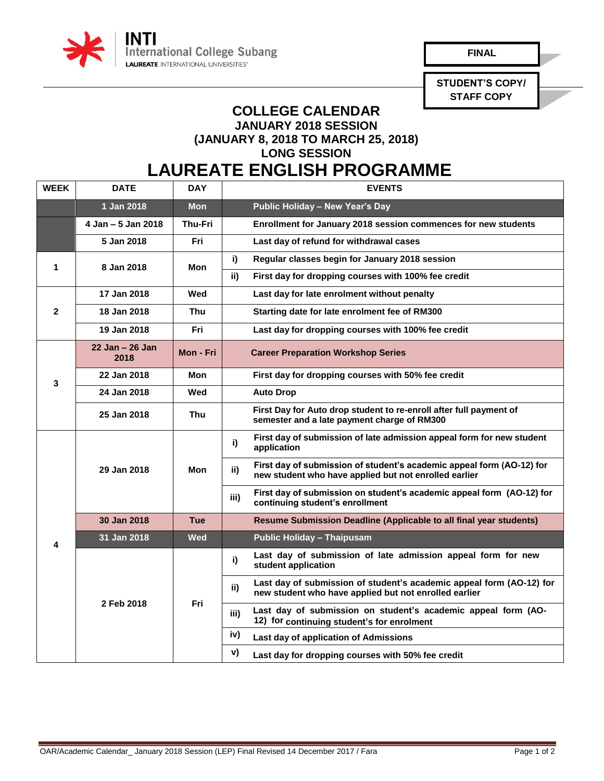

**FINAL** 

**STUDENT'S COPY/ STAFF COPY**

## **COLLEGE CALENDAR JANUARY 2018 SESSION (JANUARY 8, 2018 TO MARCH 25, 2018)**

**LONG SESSION**

## **LAUREATE ENGLISH PROGRAMME**

| <b>WEEK</b>  | <b>DATE</b>             | <b>DAY</b>     | <b>EVENTS</b>                                                                                                                         |
|--------------|-------------------------|----------------|---------------------------------------------------------------------------------------------------------------------------------------|
|              | 1 Jan 2018              | <b>Mon</b>     | <b>Public Holiday - New Year's Day</b>                                                                                                |
|              | 4 Jan - 5 Jan 2018      | <b>Thu-Fri</b> | Enrollment for January 2018 session commences for new students                                                                        |
|              | 5 Jan 2018              | Fri            | Last day of refund for withdrawal cases                                                                                               |
| 1            | 8 Jan 2018              | Mon            | Regular classes begin for January 2018 session<br>i)                                                                                  |
|              |                         |                | ii)<br>First day for dropping courses with 100% fee credit                                                                            |
| $\mathbf{2}$ | 17 Jan 2018             | Wed            | Last day for late enrolment without penalty                                                                                           |
|              | 18 Jan 2018             | Thu            | Starting date for late enrolment fee of RM300                                                                                         |
|              | 19 Jan 2018             | Fri            | Last day for dropping courses with 100% fee credit                                                                                    |
| 3            | 22 Jan - 26 Jan<br>2018 | Mon - Fri      | <b>Career Preparation Workshop Series</b>                                                                                             |
|              | 22 Jan 2018             | Mon            | First day for dropping courses with 50% fee credit                                                                                    |
|              | 24 Jan 2018             | Wed            | <b>Auto Drop</b>                                                                                                                      |
|              | 25 Jan 2018             | Thu            | First Day for Auto drop student to re-enroll after full payment of<br>semester and a late payment charge of RM300                     |
|              | 29 Jan 2018             | Mon            | First day of submission of late admission appeal form for new student<br>i)<br>application                                            |
|              |                         |                | First day of submission of student's academic appeal form (AO-12) for<br>ii)<br>new student who have applied but not enrolled earlier |
|              |                         |                | First day of submission on student's academic appeal form (AO-12) for<br>iii)<br>continuing student's enrollment                      |
|              | 30 Jan 2018             | <b>Tue</b>     | <b>Resume Submission Deadline (Applicable to all final year students)</b>                                                             |
| 4            | 31 Jan 2018             | <b>Wed</b>     | <b>Public Holiday - Thaipusam</b>                                                                                                     |
|              | 2 Feb 2018              | Fri            | Last day of submission of late admission appeal form for new<br>i)<br>student application                                             |
|              |                         |                | Last day of submission of student's academic appeal form (AO-12) for<br>ii)<br>new student who have applied but not enrolled earlier  |
|              |                         |                | Last day of submission on student's academic appeal form (AO-<br>iii)<br>12) for continuing student's for enrolment                   |
|              |                         |                | iv)<br>Last day of application of Admissions                                                                                          |
|              |                         |                | v)<br>Last day for dropping courses with 50% fee credit                                                                               |